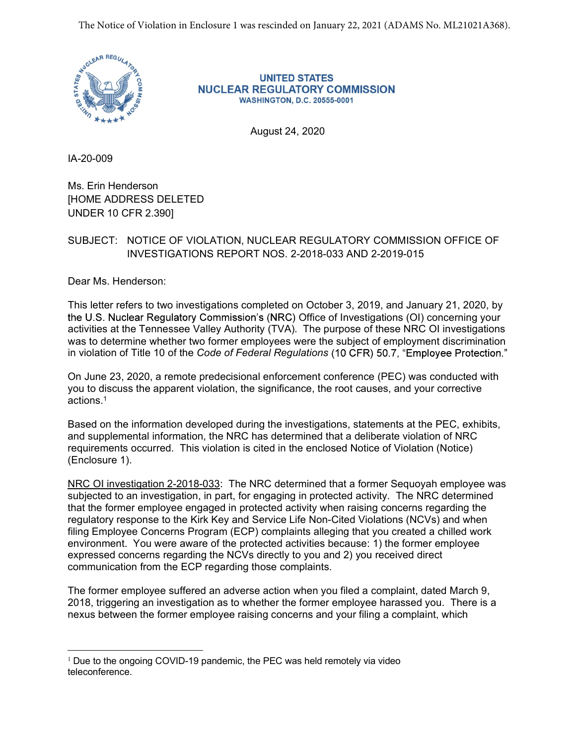

**UNITED STATES NUCLEAR REGULATORY COMMISSION WASHINGTON, D.C. 20555-0001** 

August 24, 2020

IA-20-009

Ms. Erin Henderson [HOME ADDRESS DELETED UNDER 10 CFR 2.390]

## SUBJECT: NOTICE OF VIOLATION, NUCLEAR REGULATORY COMMISSION OFFICE OF INVESTIGATIONS REPORT NOS. 2-2018-033 AND 2-2019-015

Dear Ms. Henderson:

This letter refers to two investigations completed on October 3, 2019, and January 21, 2020, by the U.S. Nuclear Regulatory Commission's (NRC) Office of Investigations (OI) concerning your activities at the Tennessee Valley Authority (TVA). The purpose of these NRC OI investigations was to determine whether two former employees were the subject of employment discrimination in violation of Title 10 of the Code of Federal Regulations (10 CFR) 50.7, "Employee Protection."

On June 23, 2020, a remote predecisional enforcement conference (PEC) was conducted with you to discuss the apparent violation, the significance, the root causes, and your corrective actions.1

Based on the information developed during the investigations, statements at the PEC, exhibits, and supplemental information, the NRC has determined that a deliberate violation of NRC requirements occurred. This violation is cited in the enclosed Notice of Violation (Notice) (Enclosure 1).

NRC OI investigation 2-2018-033: The NRC determined that a former Sequoyah employee was subjected to an investigation, in part, for engaging in protected activity. The NRC determined that the former employee engaged in protected activity when raising concerns regarding the regulatory response to the Kirk Key and Service Life Non-Cited Violations (NCVs) and when filing Employee Concerns Program (ECP) complaints alleging that you created a chilled work environment. You were aware of the protected activities because: 1) the former employee expressed concerns regarding the NCVs directly to you and 2) you received direct communication from the ECP regarding those complaints.

The former employee suffered an adverse action when you filed a complaint, dated March 9, 2018, triggering an investigation as to whether the former employee harassed you. There is a nexus between the former employee raising concerns and your filing a complaint, which

 $1$  Due to the ongoing COVID-19 pandemic, the PEC was held remotely via video teleconference.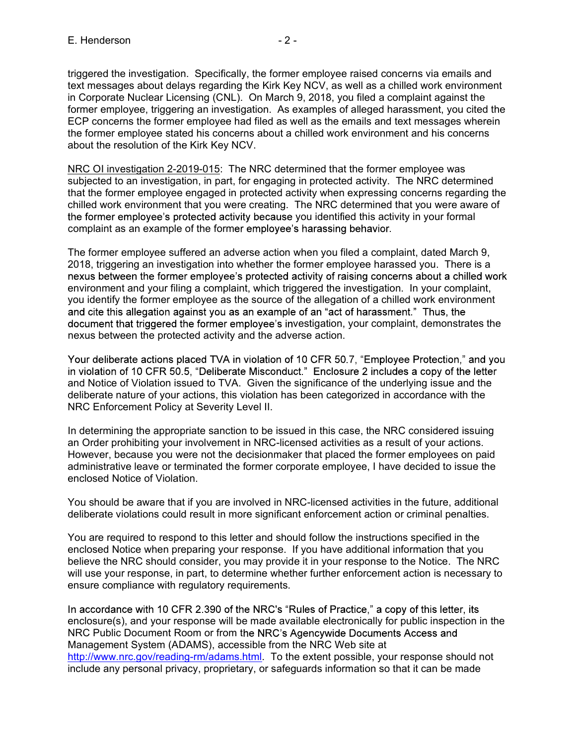E. Henderson<br>
Figgered the investigation. Specifically, the former employee raised concerns via emails and<br>
text messages about delays regarding the Kirk Key NCV, as well as a chilled work environment<br>
in Corporate Nuclear triggered the investigation. Specifically, the former employee raised concerns via emails and text messages about delays regarding the Kirk Key NCV, as well as a chilled work environment in Corporate Nuclear Licensing (CNL). On March 9, 2018, you filed a complaint against the former employee, triggering an investigation. As examples of alleged harassment, you cited the ECP concerns the former employee had filed as well as the emails and text messages wherein the former employee stated his concerns about a chilled work environment and his concerns about the resolution of the Kirk Key NCV.

NRC OI investigation 2-2019-015: The NRC determined that the former employee was subjected to an investigation, in part, for engaging in protected activity. The NRC determined that the former employee engaged in protected activity when expressing concerns regarding the chilled work environment that you were creating. The NRC determined that you were aware of the former employee's protected activity because you identified this activity in your formal complaint as an example of the former employee's harassing behavior.

The former employee suffered an adverse action when you filed a complaint, dated March 9, 2018, triggering an investigation into whether the former employee harassed you. There is a nexus between the former employee's protected activity of raising concerns about a chilled work environment and your filing a complaint, which triggered the investigation. In your complaint, you identify the former employee as the source of the allegation of a chilled work environment and cite this allegation against you as an example of an "act of harassment." Thus, the document that triggered the former employee's investigation, your complaint, demonstrates the nexus between the protected activity and the adverse action.

Your deliberate actions placed TVA in violation of 10 CFR 50.7, "Employee Protection," and you in violation of 10 CFR 50.5, "Deliberate Misconduct." Enclosure 2 includes a copy of the letter and Notice of Violation issued to TVA. Given the significance of the underlying issue and the deliberate nature of your actions, this violation has been categorized in accordance with the NRC Enforcement Policy at Severity Level II.

In determining the appropriate sanction to be issued in this case, the NRC considered issuing an Order prohibiting your involvement in NRC-licensed activities as a result of your actions. However, because you were not the decisionmaker that placed the former employees on paid administrative leave or terminated the former corporate employee, I have decided to issue the enclosed Notice of Violation.

You should be aware that if you are involved in NRC-licensed activities in the future, additional deliberate violations could result in more significant enforcement action or criminal penalties.

You are required to respond to this letter and should follow the instructions specified in the enclosed Notice when preparing your response. If you have additional information that you believe the NRC should consider, you may provide it in your response to the Notice. The NRC will use your response, in part, to determine whether further enforcement action is necessary to ensure compliance with regulatory requirements.

In accordance with 10 CFR 2.390 of the NRC's "Rules of Practice," a copy of this letter, its enclosure(s), and your response will be made available electronically for public inspection in the NRC Public Document Room or from the NRC's Agencywide Documents Access and Management System (ADAMS), accessible from the NRC Web site at http://www.nrc.gov/reading-rm/adams.html. To the extent possible, your response should not include any personal privacy, proprietary, or safeguards information so that it can be made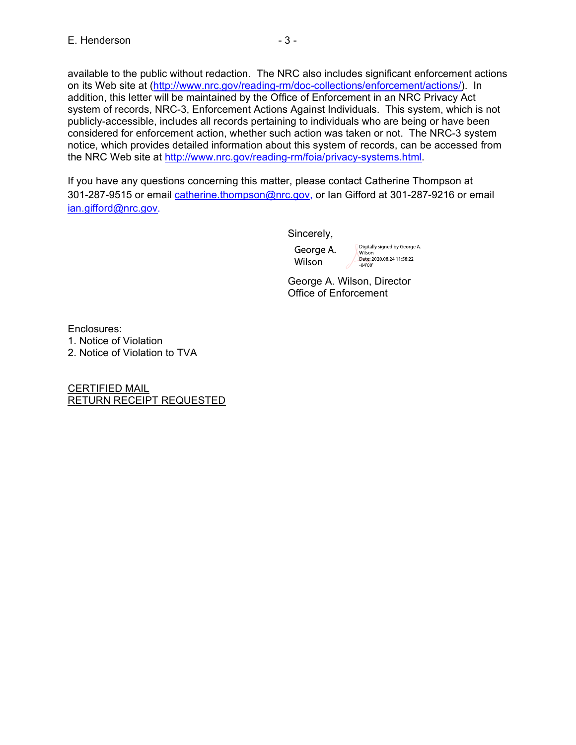E. Henderson<br>
available to the public without redaction. The NRC also includes significant enforcement actions<br>
on its Web site at (http://www.nrc.gov/reading-rm/doc-collections/enforcement/actions/). In<br>
addition, this le available to the public without redaction. The NRC also includes significant enforcement actions on its Web site at (http://www.nrc.gov/reading-rm/doc-collections/enforcement/actions/). In addition, this letter will be maintained by the Office of Enforcement in an NRC Privacy Act system of records, NRC-3, Enforcement Actions Against Individuals. This system, which is not publicly-accessible, includes all records pertaining to individuals who are being or have been considered for enforcement action, whether such action was taken or not. The NRC-3 system notice, which provides detailed information about this system of records, can be accessed from the NRC Web site at http://www.nrc.gov/reading-rm/foia/privacy-systems.html. addition, this letter will be maintained by the Office of Enforcement in a<br>system of records, NRC-3, Enforcement Actions Against Individuals.<br>
System of reductions and records pertaining to individuals who a<br>considered for System of records, NRC-3, Enforcement Actions Against Individuals. Throubicly-accessible, includes all records pertaining to individuals who are considered for enforcement action, whether such action was taken or no notice

If you have any questions concerning this matter, please contact Catherine Thompson at 301-287-9515 or email catherine.thompson@nrc.gov, or Ian Gifford at 301-287-9216 or email ian.gifford@nrc.gov.

Sincerely,

George A. Wilson, Director Office of Enforcement

Enclosures:

CERTIFIED MAIL RETURN RECEIPT REQUESTED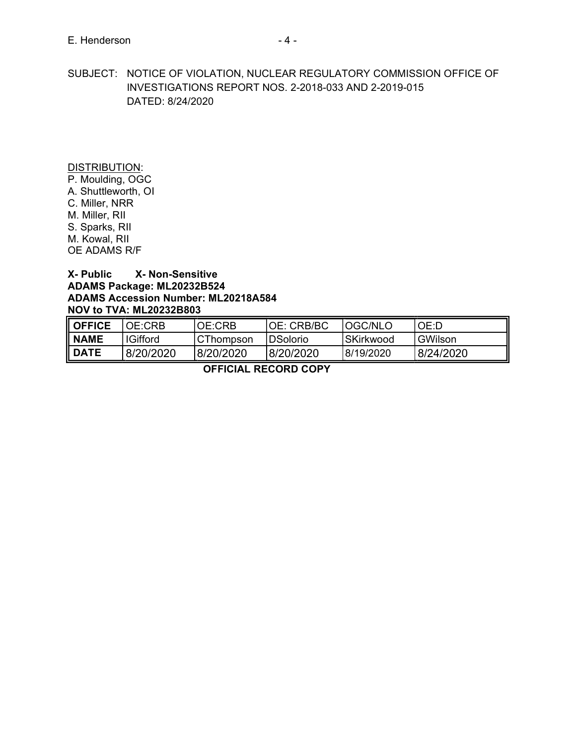E. Henderson<br>SUBJECT: NOTICE OF VIOLATION, NUCLEAR REGULATORY COMMISSION OFFICE OF<br>INVESTIGATIONS REPORT NOS. 2-2018-033 AND 2-2019-015<br>DATED: 8/24/2020 SUBJECT: NOTICE OF VIOLATION, NUCLEAR REGULATORY COMMISSION OFFICE OF INVESTIGATIONS REPORT NOS. 2-2018-033 AND 2-2019-015 DATED: 8/24/2020 E. Henderson<br>
SUBJECT: NOTICE OF VIOLATION, NUCLEAR REGULATORY CO<br>
INVESTIGATIONS REPORT NOS. 2-2018-033 AND 2-20<br>
DATED: 8/24/2020<br>
DISTRIBUTION:<br>
P. Moulding, OGC<br>
A. Shuttleworth, OI<br>
C. Miller, RIR<br>
M. Miller, RII<br>
M. E. Henderson<br>
SUBJECT: NOTICE OF VIOLATION, NUCLEAR REGULATORY CO<br>
INVESTIGATIONS REPORT NOS. 2-2018-033 AND 2-20<br>
DATED: 8/24/2020<br>
DISTRIBUTION:<br>
P. Moulding, OGC<br>
A. Shuttleworth, OI<br>
C. Miller, NRR<br>
M. Miller, RII<br>
S. E. Henderson<br>
SUBJECT: NOTICE OF VIOLATION, NUCLEAR REGULATORY CO<br>
INVESTIGATIONS REPORT NOS. 2-2018-033 AND 2-20<br>
DATED: 8/24/2020<br>
DISTRIBUTION:<br>
P. Moulding, OGC<br>
A. Shuttleworth, OI<br>
M. Miller, RR<br>
M. Miller, RI<br>
S. Sp E. Henderson<br>
SUBJECT: NOTICE OF VIOLATION, NUCLEAR REGULATORY CO<br>
INVESTIGATIONS REPORT NOS. 2-2018-033 AND 2-20<br>
DATED: 8/24/2020<br>
DISTRIBUTION:<br>
P. Moulding, OGC<br>
A. Shuttleworth, OI<br>
C. Miller, NRR<br>
M. Miller, RII<br>
M. E. Henderson<br>
SUBJECT: NOTICE OF VIOLATION, NUCLEAR REGULATORY CO<br>
INVESTIGATIONS REPORT NOS. 2-2018-033 AND 2-20<br>
DATED: 8/24/2020<br>
DISTRIBUTION:<br>
P. Moulding, OGC<br>
A. Shuttleworth, OI<br>
C. Miller, RII<br>
M. Köwal, RII<br>
M. K E. Henderson<br>
SUBJECT: NOTICE OF VIOLATION, NUCLEAR REGULATORY CO<br>
INVESTIGATIONS REPORT NOS. 2-2018-033 AND 2-20<br>
DATED: 8/24/2020<br>
DISTRIBUTION:<br>
P. Moulding, OGC<br>
A. Shuttleworth, OI<br>
C. Miller, NR<br>
M. Kowal, RII<br>
M. Ko E. Henderson<br>
SUBJECT: NOTICE OF VIOLATION, NUCLEAR REGULATORY CO<br>
INVESTIGATIONS REPORT NOS. 2-2018-033 AND 2-20<br>
DATED: 8/24/2020<br>
DATED: 8/24/2020<br>
P. Moulding, OGC<br>
A. Shuttleworth, OI<br>
C. Miller, NRR<br>
N. Kowal, RII<br>
N

## ADAMS Package: ML20232B524 ADAMS Accession Number: ML20218A584 NOV to TVA: ML20232B803

| <b>DISTRIBUTION:</b><br>P. Moulding, OGC<br>A. Shuttleworth, OI<br>C. Miller, NRR<br>M. Miller, RII<br>S. Sparks, RII<br>M. Kowal, RII<br>OE ADAMS R/F<br>X-Public | <b>X-Non-Sensitive</b><br>ADAMS Package: ML20232B524<br><b>ADAMS Accession Number: ML20218A584</b> |           |                 |           |           |  |
|--------------------------------------------------------------------------------------------------------------------------------------------------------------------|----------------------------------------------------------------------------------------------------|-----------|-----------------|-----------|-----------|--|
|                                                                                                                                                                    | <b>NOV to TVA: ML20232B803</b>                                                                     |           |                 |           |           |  |
| <b>OFFICE</b>                                                                                                                                                      | OE:CRB                                                                                             | OE:CRB    | OE: CRB/BC      | OGC/NLO   | OE:D      |  |
| <b>NAME</b>                                                                                                                                                        | <b>IGifford</b>                                                                                    | CThompson | <b>DSolorio</b> | SKirkwood | GWilson   |  |
| <b>DATE</b>                                                                                                                                                        | 8/20/2020                                                                                          | 8/20/2020 | 8/20/2020       | 8/19/2020 | 8/24/2020 |  |
| <b>OFFICIAL RECORD COPY</b>                                                                                                                                        |                                                                                                    |           |                 |           |           |  |
|                                                                                                                                                                    |                                                                                                    |           |                 |           |           |  |
|                                                                                                                                                                    |                                                                                                    |           |                 |           |           |  |
|                                                                                                                                                                    |                                                                                                    |           |                 |           |           |  |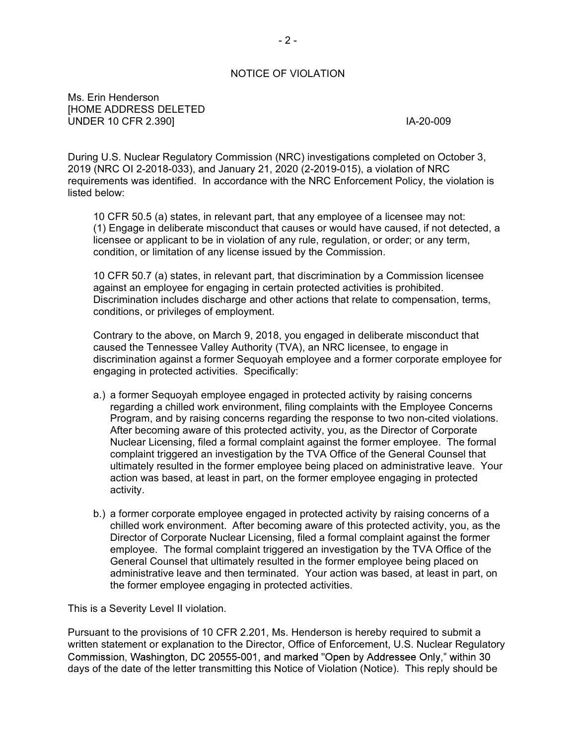## - 2 -<br>DF VIOLATION<br>CHATION NOTICE OF VIOLATION

Ms. Erin Henderson [HOME ADDRESS DELETED UNDER 10 CFR 2.390] **IA-20-009** 

During U.S. Nuclear Regulatory Commission (NRC) investigations completed on October 3, 2019 (NRC OI 2-2018-033), and January 21, 2020 (2-2019-015), a violation of NRC requirements was identified. In accordance with the NRC Enforcement Policy, the violation is listed below:

10 CFR 50.5 (a) states, in relevant part, that any employee of a licensee may not: - 2 -<br>
R 10 CFR 2.390]<br>
(1) Engage in deliberate mission (NRC) investigations completed on October 3,<br>
(NRC OI 2-2018-033), and January 21, 2020 (2-2019-015), a violation of NRC<br>
(NRC OI 2-2018-033), and January 21, 2020 ( licensee or applicant to be in violation of any rule, regulation, or order; or any term, condition, or limitation of any license issued by the Commission.

10 CFR 50.7 (a) states, in relevant part, that discrimination by a Commission licensee against an employee for engaging in certain protected activities is prohibited. Discrimination includes discharge and other actions that relate to compensation, terms, conditions, or privileges of employment.

Contrary to the above, on March 9, 2018, you engaged in deliberate misconduct that caused the Tennessee Valley Authority (TVA), an NRC licensee, to engage in discrimination against a former Sequoyah employee and a former corporate employee for engaging in protected activities. Specifically:

- a.) a former Sequoyah employee engaged in protected activity by raising concerns regarding a chilled work environment, filing complaints with the Employee Concerns Program, and by raising concerns regarding the response to two non-cited violations. After becoming aware of this protected activity, you, as the Director of Corporate Nuclear Licensing, filed a formal complaint against the former employee. The formal complaint triggered an investigation by the TVA Office of the General Counsel that ultimately resulted in the former employee being placed on administrative leave. Your action was based, at least in part, on the former employee engaging in protected activity.
- b.) a former corporate employee engaged in protected activity by raising concerns of a chilled work environment. After becoming aware of this protected activity, you, as the Director of Corporate Nuclear Licensing, filed a formal complaint against the former employee. The formal complaint triggered an investigation by the TVA Office of the General Counsel that ultimately resulted in the former employee being placed on administrative leave and then terminated. Your action was based, at least in part, on the former employee engaging in protected activities.

This is a Severity Level II violation.

Pursuant to the provisions of 10 CFR 2.201, Ms. Henderson is hereby required to submit a written statement or explanation to the Director, Office of Enforcement, U.S. Nuclear Regulatory Commission, Washington, DC 20555-001, and marked "Open by Addressee Only," within 30 days of the date of the letter transmitting this Notice of Violation (Notice). This reply should be